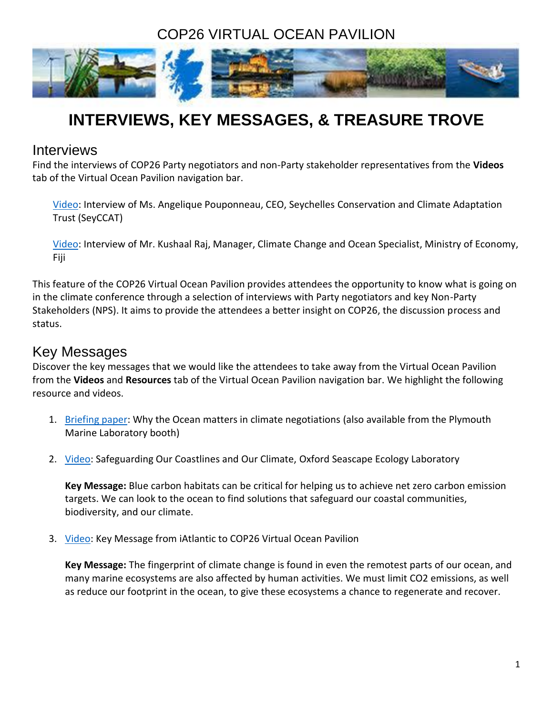# COP26 VIRTUAL OCEAN PAVILION



# **INTERVIEWS, KEY MESSAGES, & TREASURE TROVE**

## Interviews

Find the interviews of COP26 Party negotiators and non-Party stakeholder representatives from the **Videos** tab of the Virtual Ocean Pavilion navigation bar.

[Video:](https://youtu.be/NGI0-u8oqWw) Interview of Ms. Angelique Pouponneau, CEO, Seychelles Conservation and Climate Adaptation Trust (SeyCCAT)

[Video:](https://youtu.be/zUQ1dZUqwRA) Interview of Mr. Kushaal Raj, Manager, Climate Change and Ocean Specialist, Ministry of Economy, Fiji

This feature of the COP26 Virtual Ocean Pavilion provides attendees the opportunity to know what is going on in the climate conference through a selection of interviews with Party negotiators and key Non-Party Stakeholders (NPS). It aims to provide the attendees a better insight on COP26, the discussion process and status.

## Key Messages

Discover the key messages that we would like the attendees to take away from the Virtual Ocean Pavilion from the **Videos** and **Resources** tab of the Virtual Ocean Pavilion navigation bar. We highlight the following resource and videos.

- 1. [Briefing paper:](https://www.gla.ac.uk/media/Media_795093_smxx.pdf) Why the Ocean matters in climate negotiations (also available from the Plymouth Marine Laboratory booth)
- 2. [Video:](https://youtu.be/UX6XuyrO7z0) Safeguarding Our Coastlines and Our Climate, Oxford Seascape Ecology Laboratory

**Key Message:** Blue carbon habitats can be critical for helping us to achieve net zero carbon emission targets. We can look to the ocean to find solutions that safeguard our coastal communities, biodiversity, and our climate.

3. [Video:](https://youtu.be/vBPZk6p_qyc) Key Message from iAtlantic to COP26 Virtual Ocean Pavilion

**Key Message:** The fingerprint of climate change is found in even the remotest parts of our ocean, and many marine ecosystems are also affected by human activities. We must limit CO2 emissions, as well as reduce our footprint in the ocean, to give these ecosystems a chance to regenerate and recover.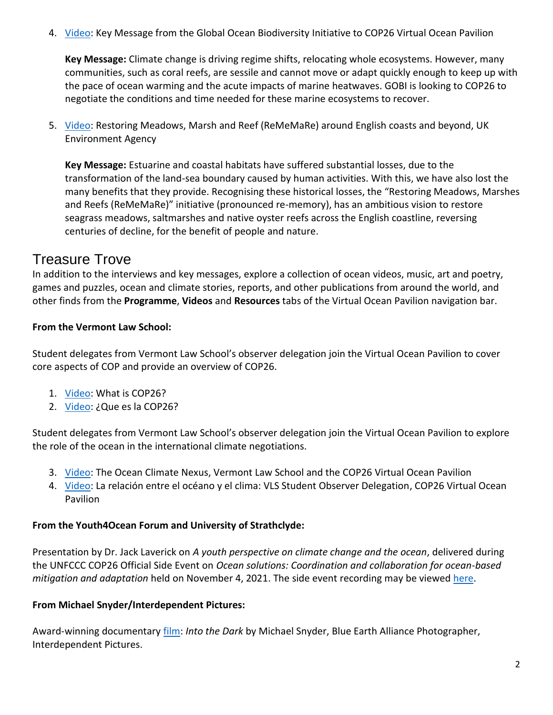4. *[Video:](https://youtu.be/u1kfZdAMSZo) Key Message from the Global Ocean Biodiversity Initiative to COP26 Virtual Ocean Pavilion* 

**Key Message:** Climate change is driving regime shifts, relocating whole ecosystems. However, many communities, such as coral reefs, are sessile and cannot move or adapt quickly enough to keep up with the pace of ocean warming and the acute impacts of marine heatwaves. GOBI is looking to COP26 to negotiate the conditions and time needed for these marine ecosystems to recover.

5. [Video:](https://www.youtube.com/watch?v=Uc2GJJpBZYY) Restoring Meadows, Marsh and Reef (ReMeMaRe) around English coasts and beyond, UK Environment Agency

**Key Message:** Estuarine and coastal habitats have suffered substantial losses, due to the transformation of the land-sea boundary caused by human activities. With this, we have also lost the many benefits that they provide. Recognising these historical losses, the "Restoring Meadows, Marshes and Reefs (ReMeMaRe)" initiative (pronounced re-memory), has an ambitious vision to restore seagrass meadows, saltmarshes and native oyster reefs across the English coastline, reversing centuries of decline, for the benefit of people and nature.

## Treasure Trove

In addition to the interviews and key messages, explore a collection of ocean videos, music, art and poetry, games and puzzles, ocean and climate stories, reports, and other publications from around the world, and other finds from the **Programme**, **Videos** and **Resources** tabs of the Virtual Ocean Pavilion navigation bar.

### **From the Vermont Law School:**

Student delegates from Vermont Law School's observer delegation join the Virtual Ocean Pavilion to cover core aspects of COP and provide an overview of COP26.

- 1. [Video:](https://youtu.be/gYtjho3b4bA) What is COP26?
- 2. [Video:](https://youtu.be/bNNYokVtk-4) ¿Que es la COP26?

Student delegates from Vermont Law School's observer delegation join the Virtual Ocean Pavilion to explore the role of the ocean in the international climate negotiations.

- 3. [Video:](https://youtu.be/05IDi-1E7Og) The Ocean Climate Nexus, Vermont Law School and the COP26 Virtual Ocean Pavilion
- 4. [Video:](https://youtu.be/jOXMX-JIDNk) La relación entre el océano y el clima: VLS Student Observer Delegation, COP26 Virtual Ocean Pavilion

### **From the Youth4Ocean Forum and University of Strathclyde:**

Presentation by Dr. Jack Laverick on *A youth perspective on climate change and the ocean*, delivered during the UNFCCC COP26 Official Side Event on *Ocean solutions: Coordination and collaboration for ocean-based mitigation and adaptation* held on November 4, 2021. The side event recording may be viewed [here.](https://www.youtube.com/watch?v=9CB8a-kamRE&list=PLBcZ22cUY9RL4TEKTBfoLupiqS5n7Kr6c&index=158)

### **From Michael Snyder/Interdependent Pictures:**

Award-winning documentary [film:](https://player.vimeo.com/video/640821538) *[Into the Dark](https://vimeo.com/manage/videos/365831168)* by Michael Snyder, Blue Earth Alliance Photographer, Interdependent Pictures.